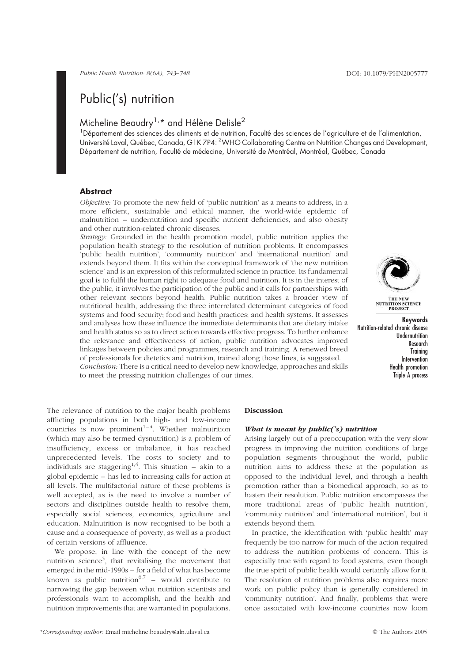# Public('s) nutrition

## Micheline Beaudry<sup>1,\*</sup> and Hélène Delisle<sup>2</sup>

<sup>1</sup>Département des sciences des aliments et de nutrition, Faculté des sciences de l'agriculture et de l'alimentation, Université Laval, Québec, Canada, G1K 7P4: <sup>2</sup>WHO Collaborating Centre on Nutrition Changes and Development, Département de nutrition, Faculté de médecine, Université de Montréal, Montréal, Québec, Canada

## **Abstract**

Objective: To promote the new field of 'public nutrition' as a means to address, in a more efficient, sustainable and ethical manner, the world-wide epidemic of malnutrition – undernutrition and specific nutrient deficiencies, and also obesity and other nutrition-related chronic diseases.

Strategy: Grounded in the health promotion model, public nutrition applies the population health strategy to the resolution of nutrition problems. It encompasses 'public health nutrition', 'community nutrition' and 'international nutrition' and extends beyond them. It fits within the conceptual framework of 'the new nutrition science' and is an expression of this reformulated science in practice. Its fundamental goal is to fulfil the human right to adequate food and nutrition. It is in the interest of the public, it involves the participation of the public and it calls for partnerships with other relevant sectors beyond health. Public nutrition takes a broader view of nutritional health, addressing the three interrelated determinant categories of food systems and food security; food and health practices; and health systems. It assesses and analyses how these influence the immediate determinants that are dietary intake and health status so as to direct action towards effective progress. To further enhance the relevance and effectiveness of action, public nutrition advocates improved linkages between policies and programmes, research and training. A renewed breed of professionals for dietetics and nutrition, trained along those lines, is suggested.





**NUTRITION SCIENCE**<br>PROJECT

Keywords Nutrition-related chronic disease Undernutrition Research Training Intervention Health promotion Triple A process

The relevance of nutrition to the major health problems afflicting populations in both high- and low-income countries is now prominent<sup> $1-4$ </sup>. Whether malnutrition (which may also be termed dysnutrition) is a problem of insufficiency, excess or imbalance, it has reached unprecedented levels. The costs to society and to individuals are staggering<sup>1,4</sup>. This situation – akin to a global epidemic – has led to increasing calls for action at all levels. The multifactorial nature of these problems is well accepted, as is the need to involve a number of sectors and disciplines outside health to resolve them, especially social sciences, economics, agriculture and education. Malnutrition is now recognised to be both a cause and a consequence of poverty, as well as a product of certain versions of affluence.

We propose, in line with the concept of the new nutrition science<sup>5</sup>, that revitalising the movement that emerged in the mid-1990s – for a field of what has become known as public nutrition<sup>6,7</sup> – would contribute to narrowing the gap between what nutrition scientists and professionals want to accomplish, and the health and nutrition improvements that are warranted in populations.

#### Discussion

## What is meant by public( $\hat{s}$ ) nutrition

Arising largely out of a preoccupation with the very slow progress in improving the nutrition conditions of large population segments throughout the world, public nutrition aims to address these at the population as opposed to the individual level, and through a health promotion rather than a biomedical approach, so as to hasten their resolution. Public nutrition encompasses the more traditional areas of 'public health nutrition', 'community nutrition' and 'international nutrition', but it extends beyond them.

In practice, the identification with 'public health' may frequently be too narrow for much of the action required to address the nutrition problems of concern. This is especially true with regard to food systems, even though the true spirit of public health would certainly allow for it. The resolution of nutrition problems also requires more work on public policy than is generally considered in 'community nutrition'. And finally, problems that were once associated with low-income countries now loom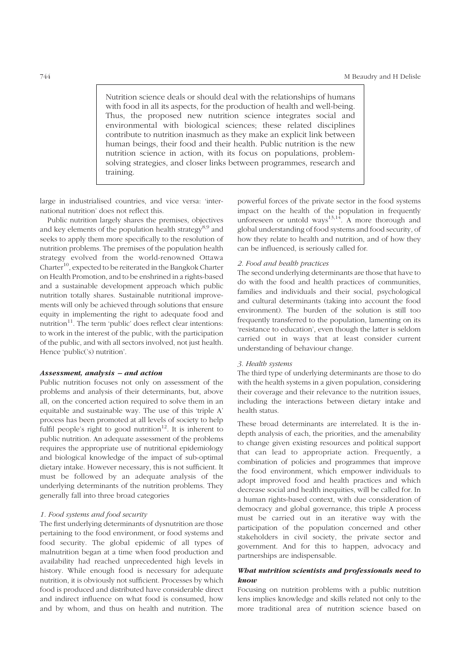Nutrition science deals or should deal with the relationships of humans with food in all its aspects, for the production of health and well-being. Thus, the proposed new nutrition science integrates social and environmental with biological sciences; these related disciplines contribute to nutrition inasmuch as they make an explicit link between human beings, their food and their health. Public nutrition is the new nutrition science in action, with its focus on populations, problemsolving strategies, and closer links between programmes, research and training.

large in industrialised countries, and vice versa: 'international nutrition' does not reflect this.

Public nutrition largely shares the premises, objectives and key elements of the population health strategy<sup>8,9</sup> and seeks to apply them more specifically to the resolution of nutrition problems. The premises of the population health strategy evolved from the world-renowned Ottawa  $\text{Character}^{10}$ , expected to be reiterated in the Bangkok Charter on Health Promotion, and to be enshrined in a rights-based and a sustainable development approach which public nutrition totally shares. Sustainable nutritional improvements will only be achieved through solutions that ensure equity in implementing the right to adequate food and  $nutrition<sup>11</sup>$ . The term 'public' does reflect clear intentions: to work in the interest of the public, with the participation of the public, and with all sectors involved, not just health. Hence 'public('s) nutrition'.

#### Assessment, analysis – and action

Public nutrition focuses not only on assessment of the problems and analysis of their determinants, but, above all, on the concerted action required to solve them in an equitable and sustainable way. The use of this 'triple A' process has been promoted at all levels of society to help fulfil people's right to good nutrition<sup>12</sup>. It is inherent to public nutrition. An adequate assessment of the problems requires the appropriate use of nutritional epidemiology and biological knowledge of the impact of sub-optimal dietary intake. However necessary, this is not sufficient. It must be followed by an adequate analysis of the underlying determinants of the nutrition problems. They generally fall into three broad categories

### 1. Food systems and food security

The first underlying determinants of dysnutrition are those pertaining to the food environment, or food systems and food security. The global epidemic of all types of malnutrition began at a time when food production and availability had reached unprecedented high levels in history. While enough food is necessary for adequate nutrition, it is obviously not sufficient. Processes by which food is produced and distributed have considerable direct and indirect influence on what food is consumed, how and by whom, and thus on health and nutrition. The

powerful forces of the private sector in the food systems impact on the health of the population in frequently unforeseen or untold ways<sup>13,14</sup>. A more thorough and global understanding of food systems and food security, of how they relate to health and nutrition, and of how they can be influenced, is seriously called for.

## 2. Food and health practices

The second underlying determinants are those that have to do with the food and health practices of communities, families and individuals and their social, psychological and cultural determinants (taking into account the food environment). The burden of the solution is still too frequently transferred to the population, lamenting on its 'resistance to education', even though the latter is seldom carried out in ways that at least consider current understanding of behaviour change.

#### 3. Health systems

The third type of underlying determinants are those to do with the health systems in a given population, considering their coverage and their relevance to the nutrition issues, including the interactions between dietary intake and health status.

These broad determinants are interrelated. It is the indepth analysis of each, the priorities, and the amenability to change given existing resources and political support that can lead to appropriate action. Frequently, a combination of policies and programmes that improve the food environment, which empower individuals to adopt improved food and health practices and which decrease social and health inequities, will be called for. In a human rights-based context, with due consideration of democracy and global governance, this triple A process must be carried out in an iterative way with the participation of the population concerned and other stakeholders in civil society, the private sector and government. And for this to happen, advocacy and partnerships are indispensable.

## What nutrition scientists and professionals need to know

Focusing on nutrition problems with a public nutrition lens implies knowledge and skills related not only to the more traditional area of nutrition science based on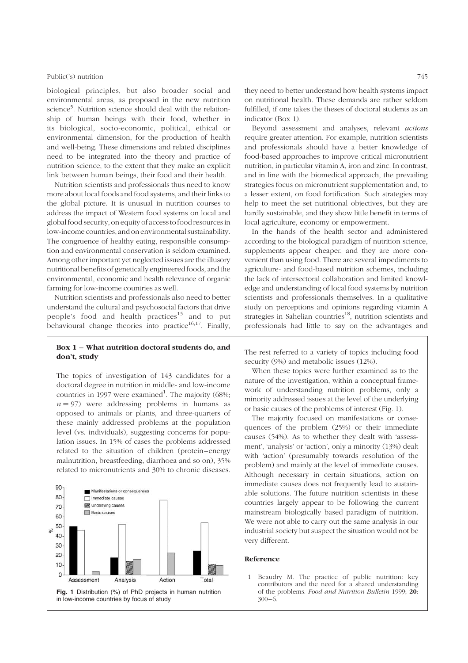#### Public('s) nutrition 745

biological principles, but also broader social and environmental areas, as proposed in the new nutrition science<sup>5</sup>. Nutrition science should deal with the relationship of human beings with their food, whether in its biological, socio-economic, political, ethical or environmental dimension, for the production of health and well-being. These dimensions and related disciplines need to be integrated into the theory and practice of nutrition science, to the extent that they make an explicit link between human beings, their food and their health.

Nutrition scientists and professionals thus need to know more about local foods and food systems, and their links to the global picture. It is unusual in nutrition courses to address the impact of Western food systems on local and global food security, on equity of access to food resources in low-income countries, and on environmental sustainability. The congruence of healthy eating, responsible consumption and environmental conservation is seldom examined. Among other important yet neglected issues are the illusory nutritional benefits of genetically engineered foods, and the environmental, economic and health relevance of organic farming for low-income countries as well.

Nutrition scientists and professionals also need to better understand the cultural and psychosocial factors that drive people's food and health practices<sup>15</sup> and to put behavioural change theories into practice<sup>16,17</sup>. Finally,

## Box 1 – What nutrition doctoral students do, and don't, study

The topics of investigation of 143 candidates for a doctoral degree in nutrition in middle- and low-income countries in 1997 were examined<sup>1</sup>. The majority (68%;  $n = 97$ ) were addressing problems in humans as opposed to animals or plants, and three-quarters of these mainly addressed problems at the population level (vs. individuals), suggesting concerns for population issues. In 15% of cases the problems addressed related to the situation of children (protein –energy malnutrition, breastfeeding, diarrhoea and so on), 35% related to micronutrients and 30% to chronic diseases.



they need to better understand how health systems impact on nutritional health. These demands are rather seldom fulfilled, if one takes the theses of doctoral students as an indicator (Box 1).

Beyond assessment and analyses, relevant actions require greater attention. For example, nutrition scientists and professionals should have a better knowledge of food-based approaches to improve critical micronutrient nutrition, in particular vitamin A, iron and zinc. In contrast, and in line with the biomedical approach, the prevailing strategies focus on micronutrient supplementation and, to a lesser extent, on food fortification. Such strategies may help to meet the set nutritional objectives, but they are hardly sustainable, and they show little benefit in terms of local agriculture, economy or empowerment.

In the hands of the health sector and administered according to the biological paradigm of nutrition science, supplements appear cheaper, and they are more convenient than using food. There are several impediments to agriculture- and food-based nutrition schemes, including the lack of intersectoral collaboration and limited knowledge and understanding of local food systems by nutrition scientists and professionals themselves. In a qualitative study on perceptions and opinions regarding vitamin A strategies in Sahelian countries<sup>18</sup>, nutrition scientists and professionals had little to say on the advantages and

The rest referred to a variety of topics including food security (9%) and metabolic issues (12%).

When these topics were further examined as to the nature of the investigation, within a conceptual framework of understanding nutrition problems, only a minority addressed issues at the level of the underlying or basic causes of the problems of interest (Fig. 1).

The majority focused on manifestations or consequences of the problem (25%) or their immediate causes (54%). As to whether they dealt with 'assessment', 'analysis' or 'action', only a minority (13%) dealt with 'action' (presumably towards resolution of the problem) and mainly at the level of immediate causes. Although necessary in certain situations, action on immediate causes does not frequently lead to sustainable solutions. The future nutrition scientists in these countries largely appear to be following the current mainstream biologically based paradigm of nutrition. We were not able to carry out the same analysis in our industrial society but suspect the situation would not be very different.

#### Reference

1 Beaudry M. The practice of public nutrition: key contributors and the need for a shared understanding of the problems. Food and Nutrition Bulletin 1999; 20:  $300 - 6.$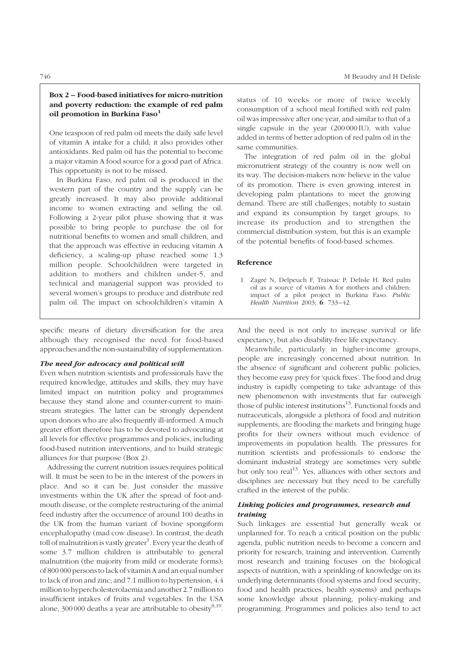## Box 2 – Food-based initiatives for micro-nutrition and poverty reduction: the example of red palm oil promotion in Burkina Faso<sup>1</sup>

One teaspoon of red palm oil meets the daily safe level of vitamin A intake for a child; it also provides other antioxidants. Red palm oil has the potential to become a major vitamin A food source for a good part of Africa. This opportunity is not to be missed.

In Burkina Faso, red palm oil is produced in the western part of the country and the supply can be greatly increased. It may also provide additional income to women extracting and selling the oil. Following a 2-year pilot phase showing that it was possible to bring people to purchase the oil for nutritional benefits to women and small children, and that the approach was effective in reducing vitamin A deficiency, a scaling-up phase reached some 1.3 million people. Schoolchildren were targeted in addition to mothers and children under-5, and technical and managerial support was provided to several women's groups to produce and distribute red palm oil. The impact on schoolchildren's vitamin A

specific means of dietary diversification for the area although they recognised the need for food-based approaches and the non-sustainability of supplementation.

#### The need for advocacy and political will

Even when nutrition scientists and professionals have the required knowledge, attitudes and skills, they may have limited impact on nutrition policy and programmes because they stand alone and counter-current to mainstream strategies. The latter can be strongly dependent upon donors who are also frequently ill-informed. A much greater effort therefore has to be devoted to advocating at all levels for effective programmes and policies, including food-based nutrition interventions, and to build strategic alliances for that purpose (Box 2).

Addressing the current nutrition issues requires political will. It must be seen to be in the interest of the powers in place. And so it can be. Just consider the massive investments within the UK after the spread of foot-andmouth disease, or the complete restructuring of the animal feed industry after the occurrence of around 100 deaths in the UK from the human variant of bovine spongiform encephalopathy (mad cow disease). In contrast, the death toll of malnutrition is vastly greater<sup>1</sup>. Every year the death of some 3.7 million children is attributable to general malnutrition (the majority from mild or moderate forms); of 800 000 persons to lack of vitamin A and an equal number to lack of iron and zinc; and 7.1 million to hypertension, 4.4 million to hypercholesterolaemia and another 2.7 million to insufficient intakes of fruits and vegetables. In the USA alone, 300 000 deaths a year are attributable to obesity $^{8,19}$ .

status of 10 weeks or more of twice weekly consumption of a school meal fortified with red palm oil was impressive after one year, and similar to that of a single capsule in the year (200 000 IU), with value added in terms of better adoption of red palm oil in the same communities.

The integration of red palm oil in the global micronutrient strategy of the country is now well on its way. The decision-makers now believe in the value of its promotion. There is even growing interest in developing palm plantations to meet the growing demand. There are still challenges, notably to sustain and expand its consumption by target groups, to increase its production and to strengthen the commercial distribution system, but this is an example of the potential benefits of food-based schemes.

## Reference

1 Zagre´ N, Delpeuch F, Traissac P, Delisle H. Red palm oil as a source of vitamin A for mothers and children: impact of a pilot project in Burkina Faso. Public Health Nutrition 2003; 6: 733-42.

And the need is not only to increase survival or life expectancy, but also disability-free life expectancy.

Meanwhile, particularly in higher-income groups, people are increasingly concerned about nutrition. In the absence of significant and coherent public policies, they become easy prey for 'quick fixes'. The food and drug industry is rapidly competing to take advantage of this new phenomenon with investments that far outweigh those of public interest institutions $13$ . Functional foods and nutraceuticals, alongside a plethora of food and nutrition supplements, are flooding the markets and bringing huge profits for their owners without much evidence of improvements in population health. The pressures for nutrition scientists and professionals to endorse the dominant industrial strategy are sometimes very subtle but only too real<sup>13</sup>. Yes, alliances with other sectors and disciplines are necessary but they need to be carefully crafted in the interest of the public.

## Linking policies and programmes, research and training

Such linkages are essential but generally weak or unplanned for. To reach a critical position on the public agenda, public nutrition needs to become a concern and priority for research, training and intervention. Currently most research and training focuses on the biological aspects of nutrition, with a sprinkling of knowledge on its underlying determinants (food systems and food security, food and health practices, health systems) and perhaps some knowledge about planning, policy-making and programming. Programmes and policies also tend to act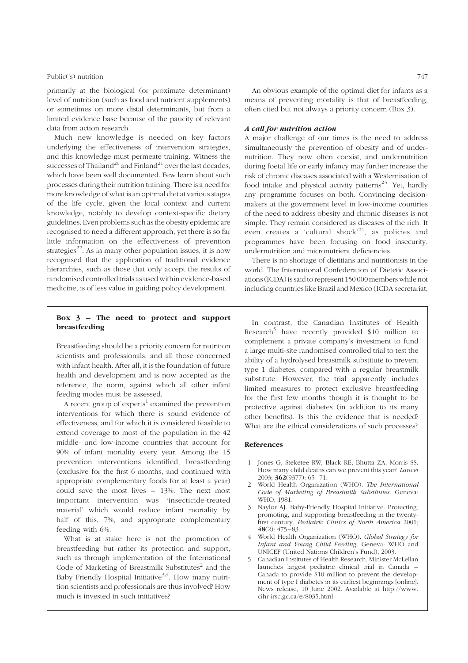### Public('s) nutrition 747

primarily at the biological (or proximate determinant) level of nutrition (such as food and nutrient supplements) or sometimes on more distal determinants, but from a limited evidence base because of the paucity of relevant data from action research.

Much new knowledge is needed on key factors underlying the effectiveness of intervention strategies, and this knowledge must permeate training. Witness the successes of Thailand<sup>20</sup> and Finland<sup>21</sup> over the last decades, which have been well documented. Few learn about such processes during their nutrition training. There is a need for more knowledge of what is an optimal diet at various stages of the life cycle, given the local context and current knowledge, notably to develop context-specific dietary guidelines. Even problems such as the obesity epidemic are recognised to need a different approach, yet there is so far little information on the effectiveness of prevention strategies<sup>22</sup>. As in many other population issues, it is now recognised that the application of traditional evidence hierarchies, such as those that only accept the results of randomised controlled trials as used within evidence-based medicine, is of less value in guiding policy development.

## A call for nutrition action

A major challenge of our times is the need to address simultaneously the prevention of obesity and of undernutrition. They now often coexist, and undernutrition during foetal life or early infancy may further increase the risk of chronic diseases associated with a Westernisation of food intake and physical activity patterns<sup>23</sup>. Yet, hardly any programme focuses on both. Convincing decisionmakers at the government level in low-income countries of the need to address obesity and chronic diseases is not simple. They remain considered as diseases of the rich. It even creates a 'cultural shock'<sup>24</sup>, as policies and programmes have been focusing on food insecurity, undernutrition and micronutrient deficiencies.

There is no shortage of dietitians and nutritionists in the world. The International Confederation of Dietetic Associations (ICDA) is said to represent 150 000 members while not including countries like Brazil and Mexico (ICDA secretariat,

## Box 3 – The need to protect and support breastfeeding

Breastfeeding should be a priority concern for nutrition scientists and professionals, and all those concerned with infant health. After all, it is the foundation of future health and development and is now accepted as the reference, the norm, against which all other infant feeding modes must be assessed.

A recent group of  $expects<sup>1</sup>$  examined the prevention interventions for which there is sound evidence of effectiveness, and for which it is considered feasible to extend coverage to most of the population in the 42 middle- and low-income countries that account for 90% of infant mortality every year. Among the 15 prevention interventions identified, breastfeeding (exclusive for the first 6 months, and continued with appropriate complementary foods for at least a year) could save the most lives – 13%. The next most important intervention was 'insecticide-treated material' which would reduce infant mortality by half of this, 7%, and appropriate complementary feeding with 6%.

What is at stake here is not the promotion of breastfeeding but rather its protection and support, such as through implementation of the International Code of Marketing of Breastmilk Substitutes $^2$  and the Baby Friendly Hospital Initiative<sup>3,4</sup>. How many nutrition scientists and professionals are thus involved? How much is invested in such initiatives?

In contrast, the Canadian Institutes of Health Research<sup>5</sup> have recently provided \$10 million to complement a private company's investment to fund a large multi-site randomised controlled trial to test the ability of a hydrolysed breastmilk substitute to prevent type 1 diabetes, compared with a regular breastmilk substitute. However, the trial apparently includes limited measures to protect exclusive breastfeeding for the first few months though it is thought to be protective against diabetes (in addition to its many other benefits). Is this the evidence that is needed? What are the ethical considerations of such processes?

## References

- 1 Jones G, Steketee RW, Black RE, Bhutta ZA, Morris SS. How many child deaths can we prevent this year? Lancet 2003; 362(9377): 65– 71.
- World Health Organization (WHO). The International Code of Marketing of Breastmilk Substitutes. Geneva: WHO, 1981.
- 3 Naylor AJ. Baby-Friendly Hospital Initiative. Protecting, promoting, and supporting breastfeeding in the twentyfirst century. Pediatric Clinics of North America 2001; 48(2): 475 – 83.
- World Health Organization (WHO). Global Strategy for Infant and Young Child Feeding. Geneva: WHO and UNICEF (United Nations Children's Fund), 2003.
- 5 Canadian Institutes of Health Research. Minister McLellan launches largest pediatric clinical trial in Canada – Canada to provide \$10 million to prevent the development of type I diabetes in its earliest beginnings [online]. News release, 10 June 2002. Available at http://www. cihr-irsc.gc.ca/e/8035.html